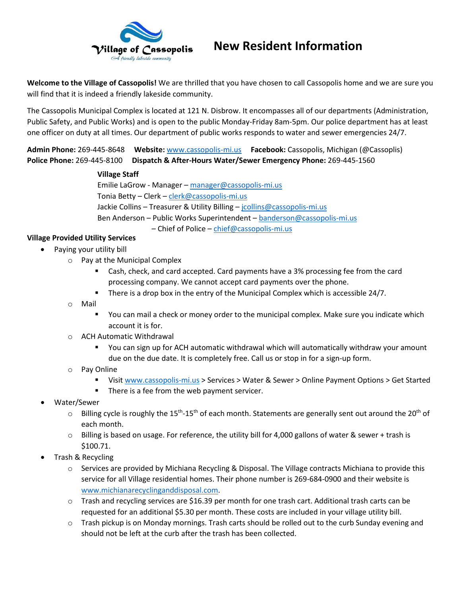

# **New Resident Information**

**Welcome to the Village of Cassopolis!** We are thrilled that you have chosen to call Cassopolis home and we are sure you will find that it is indeed a friendly lakeside community.

The Cassopolis Municipal Complex is located at 121 N. Disbrow. It encompasses all of our departments (Administration, Public Safety, and Public Works) and is open to the public Monday-Friday 8am-5pm. Our police department has at least one officer on duty at all times. Our department of public works responds to water and sewer emergencies 24/7.

**Admin Phone:** 269-445-8648 **Website:** [www.cassopolis-mi.us](http://www.cassopolis-mi.us/) **Facebook:** Cassopolis, Michigan (@Cassoplis) **Police Phone:** 269-445-8100 **Dispatch & After-Hours Water/Sewer Emergency Phone:** 269-445-1560

#### **Village Staff**

Emilie LaGrow - Manager – [manager@cassopolis-mi.us](mailto:manager@cassopolis-mi.us) Tonia Betty – Clerk – [clerk@cassopolis-mi.us](mailto:clerk@cassopolis-mi.us) Jackie Collins - Treasurer & Utility Billing - [jcollins@cassopolis-mi.us](mailto:jcollins@cassopolis-mi.us) Ben Anderson – Public Works Superintendent – [banderson@cassopolis-mi.us](mailto:banderson@cassopolis-mi.us) – Chief of Police – [chief@cassopolis-mi.us](mailto:chief@cassopolis-mi.us)

## **Village Provided Utility Services**

- Paying your utility bill
	- o Pay at the Municipal Complex
		- Cash, check, and card accepted. Card payments have a 3% processing fee from the card processing company. We cannot accept card payments over the phone.
		- There is a drop box in the entry of the Municipal Complex which is accessible 24/7.
	- o Mail
		- You can mail a check or money order to the municipal complex. Make sure you indicate which account it is for.
	- o ACH Automatic Withdrawal
		- You can sign up for ACH automatic withdrawal which will automatically withdraw your amount due on the due date. It is completely free. Call us or stop in for a sign-up form.
	- o Pay Online
		- Visit [www.cassopolis-mi.us](http://www.cassopolis-mi.us/) > Services > Water & Sewer > Online Payment Options > Get Started
		- **There is a fee from the web payment servicer.**
- Water/Sewer
	- $\circ$  Billing cycle is roughly the 15<sup>th</sup>-15<sup>th</sup> of each month. Statements are generally sent out around the 20<sup>th</sup> of each month.
	- $\circ$  Billing is based on usage. For reference, the utility bill for 4,000 gallons of water & sewer + trash is \$100.71.
- Trash & Recycling
	- $\circ$  Services are provided by Michiana Recycling & Disposal. The Village contracts Michiana to provide this service for all Village residential homes. Their phone number is 269-684-0900 and their website is [www.michianarecyclinganddisposal.com.](http://www.michianarecyclinganddisposal.com/)
	- $\circ$  Trash and recycling services are \$16.39 per month for one trash cart. Additional trash carts can be requested for an additional \$5.30 per month. These costs are included in your village utility bill.
	- o Trash pickup is on Monday mornings. Trash carts should be rolled out to the curb Sunday evening and should not be left at the curb after the trash has been collected.